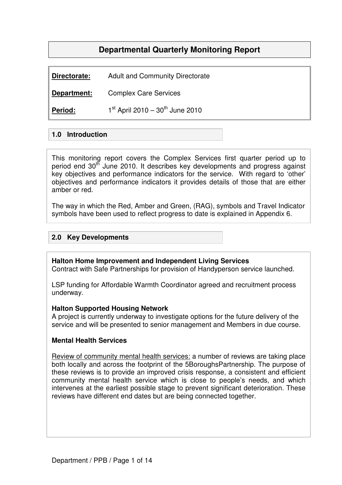# **Departmental Quarterly Monitoring Report**

**Directorate:** Adult and Community Directorate

**Department:** Complex Care Services

**Period:**  $1^{st}$  April 2010 – 30<sup>th</sup> June 2010

### **1.0 Introduction**

This monitoring report covers the Complex Services first quarter period up to period end 30<sup>th</sup> June 2010. It describes key developments and progress against key objectives and performance indicators for the service. With regard to 'other' objectives and performance indicators it provides details of those that are either amber or red.

The way in which the Red, Amber and Green, (RAG), symbols and Travel Indicator symbols have been used to reflect progress to date is explained in Appendix 6.

### **2.0 Key Developments**

#### **Halton Home Improvement and Independent Living Services**

Contract with Safe Partnerships for provision of Handyperson service launched.

LSP funding for Affordable Warmth Coordinator agreed and recruitment process underway.

#### **Halton Supported Housing Network**

A project is currently underway to investigate options for the future delivery of the service and will be presented to senior management and Members in due course.

#### **Mental Health Services**

Review of community mental health services: a number of reviews are taking place both locally and across the footprint of the 5BoroughsPartnership. The purpose of these reviews is to provide an improved crisis response, a consistent and efficient community mental health service which is close to people's needs, and which intervenes at the earliest possible stage to prevent significant deterioration. These reviews have different end dates but are being connected together.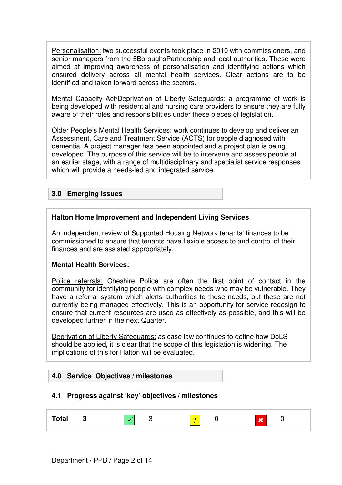Personalisation: two successful events took place in 2010 with commissioners, and senior managers from the 5BoroughsPartnership and local authorities. These were aimed at improving awareness of personalisation and identifying actions which ensured delivery across all mental health services. Clear actions are to be identified and taken forward across the sectors.

Mental Capacity Act/Deprivation of Liberty Safeguards: a programme of work is being developed with residential and nursing care providers to ensure they are fully aware of their roles and responsibilities under these pieces of legislation.

Older People's Mental Health Services: work continues to develop and deliver an Assessment, Care and Treatment Service (ACTS) for people diagnosed with dementia. A project manager has been appointed and a project plan is being developed. The purpose of this service will be to intervene and assess people at an earlier stage, with a range of multidisciplinary and specialist service responses which will provide a needs-led and integrated service.

### **3.0 Emerging Issues**

#### **Halton Home Improvement and Independent Living Services**

An independent review of Supported Housing Network tenants' finances to be commissioned to ensure that tenants have flexible access to and control of their finances and are assisted appropriately.

#### **Mental Health Services:**

Police referrals: Cheshire Police are often the first point of contact in the community for identifying people with complex needs who may be vulnerable. They have a referral system which alerts authorities to these needs, but these are not currently being managed effectively. This is an opportunity for service redesign to ensure that current resources are used as effectively as possible, and this will be developed further in the next Quarter.

Deprivation of Liberty Safeguards: as case law continues to define how DoLS should be applied, it is clear that the scope of this legislation is widening. The implications of this for Halton will be evaluated.

#### **4.0 Service Objectives / milestones**

#### **4.1 Progress against 'key' objectives / milestones**

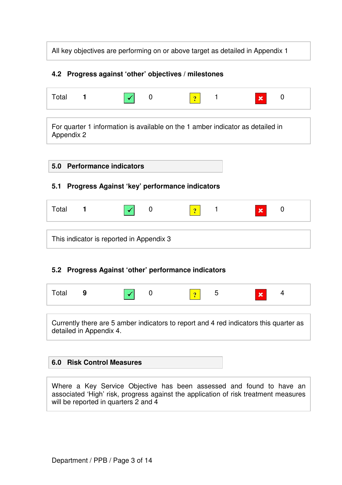All key objectives are performing on or above target as detailed in Appendix 1

### **4.2 Progress against 'other' objectives / milestones**

| Total |  |  | <b>But</b> |  |
|-------|--|--|------------|--|
|       |  |  |            |  |

For quarter 1 information is available on the 1 amber indicator as detailed in Appendix 2

### **5.0 Performance indicators**

### **5.1 Progress Against 'key' performance indicators**

| Total | ∼ | <b>COL</b> | $\mathbf x$<br>u |
|-------|---|------------|------------------|
|       |   |            |                  |
|       |   |            |                  |

This indicator is reported in Appendix 3

## **5.2 Progress Against 'other' performance indicators**

| Total 9 |  | $\sqrt{ }$ 0 |  |  | $\begin{array}{ c c c c c } \hline \hline \mathbf{0} & \mathbf{5} \end{array}$ | $\pmb{\times}$ | $\overline{A}$ |
|---------|--|--------------|--|--|--------------------------------------------------------------------------------|----------------|----------------|
|---------|--|--------------|--|--|--------------------------------------------------------------------------------|----------------|----------------|

Currently there are 5 amber indicators to report and 4 red indicators this quarter as detailed in Appendix 4.

## **6.0 Risk Control Measures**

Where a Key Service Objective has been assessed and found to have an associated 'High' risk, progress against the application of risk treatment measures will be reported in quarters 2 and 4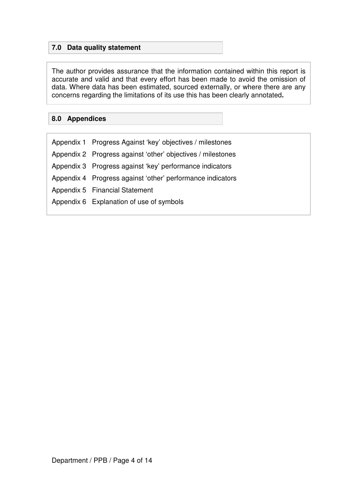## **7.0 Data quality statement**

The author provides assurance that the information contained within this report is accurate and valid and that every effort has been made to avoid the omission of data. Where data has been estimated, sourced externally, or where there are any concerns regarding the limitations of its use this has been clearly annotated**.**

### **8.0 Appendices**

| Appendix 1 Progress Against 'key' objectives / milestones   |
|-------------------------------------------------------------|
| Appendix 2 Progress against 'other' objectives / milestones |
| Appendix 3 Progress against 'key' performance indicators    |
| Appendix 4 Progress against 'other' performance indicators  |
| Appendix 5 Financial Statement                              |
| Appendix 6 Explanation of use of symbols                    |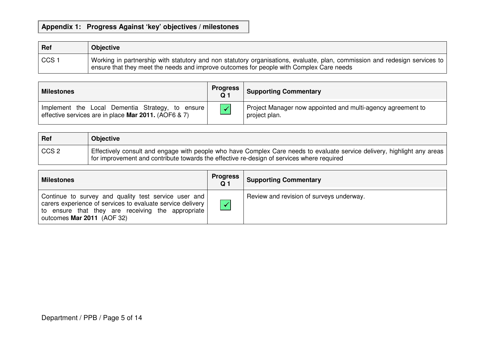### **Appendix 1: Progress Against 'key' objectives / milestones**

| $ $ Ref             | <b>Objective</b>                                                                                                                                                                                                      |
|---------------------|-----------------------------------------------------------------------------------------------------------------------------------------------------------------------------------------------------------------------|
| $\frac{1}{2}$ CCS 1 | Working in partnership with statutory and non statutory organisations, evaluate, plan, commission and redesign services to<br>ensure that they meet the needs and improve outcomes for people with Complex Care needs |

| <b>Milestones</b>                                                                                        | <b>Progress</b><br>.Q 1 | <b>Supporting Commentary</b>                                                 |
|----------------------------------------------------------------------------------------------------------|-------------------------|------------------------------------------------------------------------------|
| Implement the Local Dementia Strategy, to ensure<br>effective services are in place Mar 2011. (AOF6 & 7) |                         | Project Manager now appointed and multi-agency agreement to<br>project plan. |

| $ $ Ref | <b>Objective</b>                                                                                                                                                                                                          |
|---------|---------------------------------------------------------------------------------------------------------------------------------------------------------------------------------------------------------------------------|
| CCS2    | l Effectively consult and engage with people who have Complex Care needs to evaluate service delivery, highlight any areas  <br>for improvement and contribute towards the effective re-design of services where required |

| <b>Milestones</b>                                                                                                                                                                                     | Progress<br><b>Q</b> 1 | <b>Supporting Commentary</b>             |
|-------------------------------------------------------------------------------------------------------------------------------------------------------------------------------------------------------|------------------------|------------------------------------------|
| Continue to survey and quality test service user and<br>carers experience of services to evaluate service delivery<br>to ensure that they are receiving the appropriate<br>outcomes Mar 2011 (AOF 32) |                        | Review and revision of surveys underway. |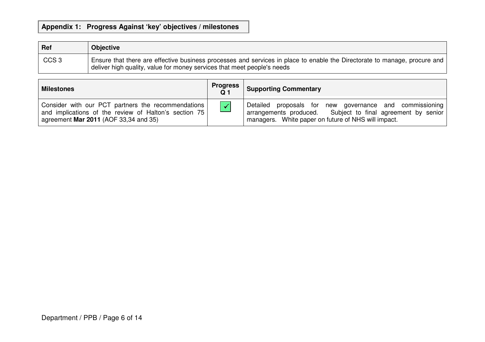### **Appendix 1: Progress Against 'key' objectives / milestones**

| Ref              | <b>Objective</b>                                                                                                                                                                                     |
|------------------|------------------------------------------------------------------------------------------------------------------------------------------------------------------------------------------------------|
| CCS <sub>3</sub> | Ensure that there are effective business processes and services in place to enable the Directorate to manage, procure and<br>deliver high quality, value for money services that meet people's needs |

| <b>Milestones</b>                                                                                                                                    | <b>Progress</b><br>Q <sub>1</sub> | <b>Supporting Commentary</b>                                                                                                                                                  |
|------------------------------------------------------------------------------------------------------------------------------------------------------|-----------------------------------|-------------------------------------------------------------------------------------------------------------------------------------------------------------------------------|
| Consider with our PCT partners the recommendations<br>and implications of the review of Halton's section 75<br>agreement Mar 2011 (AOF 33,34 and 35) | $\checkmark$                      | Detailed proposals for new governance and commissioning<br>arrangements produced. Subject to final agreement by senior<br>managers. White paper on future of NHS will impact. |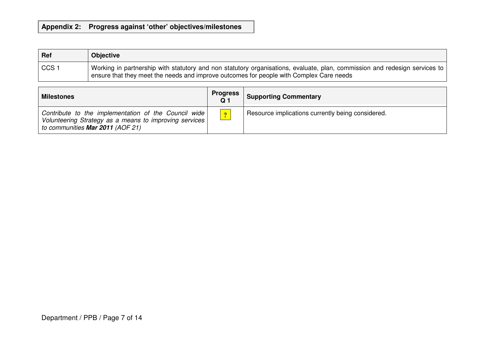### **Appendix 2: Progress against 'other' objectives/milestones**

| Ref          | <b>Objective</b>                                                                                                                                                                                                        |
|--------------|-------------------------------------------------------------------------------------------------------------------------------------------------------------------------------------------------------------------------|
| $\mid$ CCS 1 | Vorking in partnership with statutory and non statutory organisations, evaluate, plan, commission and redesign services to  <br>ensure that they meet the needs and improve outcomes for people with Complex Care needs |

| <b>Milestones</b>                                                                                                                                  | <b>Progress</b> | <b>Supporting Commentary</b>                      |
|----------------------------------------------------------------------------------------------------------------------------------------------------|-----------------|---------------------------------------------------|
| Contribute to the implementation of the Council wide<br>Volunteering Strategy as a means to improving services<br>to communities Mar 2011 (AOF 21) | $\overline{?}$  | Resource implications currently being considered. |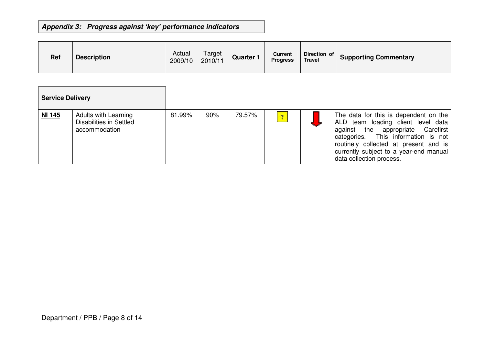## **Appendix 3: Progress against 'key' performance indicators**

| <b>Ref</b> | <b>Description</b> | Actual<br>2009/10 | Target<br>2010/11 | Quarter 1 | <b>Current</b><br><b>Progress</b> | Direction of<br><b>Travel</b> | <b>Supporting Commentary</b> |
|------------|--------------------|-------------------|-------------------|-----------|-----------------------------------|-------------------------------|------------------------------|
|            |                    |                   |                   |           |                                   |                               |                              |

| <b>Service Delivery</b> |                                                                         |        |     |        |                |                                                                                                                                                                                                                                                                        |
|-------------------------|-------------------------------------------------------------------------|--------|-----|--------|----------------|------------------------------------------------------------------------------------------------------------------------------------------------------------------------------------------------------------------------------------------------------------------------|
| <b>NI 145</b>           | <b>Adults with Learning</b><br>Disabilities in Settled<br>accommodation | 81.99% | 90% | 79.57% | $\overline{?}$ | The data for this is dependent on the<br>ALD team loading client level data<br>against the appropriate Carefirst<br>categories. This information is not<br>routinely collected at present and is<br>currently subject to a year-end manual<br>data collection process. |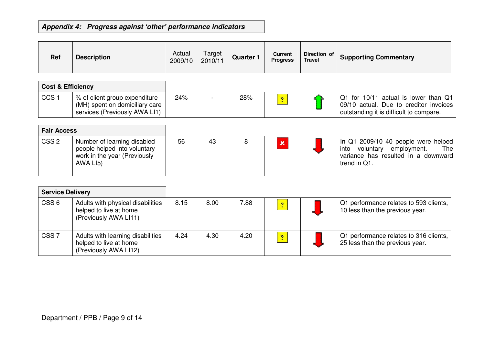## **Appendix 4: Progress against 'other' performance indicators**

| <b>Ref</b> | <b>Description</b> | Actual<br>2009/10 | Target<br>2010/11 | <b>Quarter 1</b> | Current<br><b>Progress</b> | Direction of<br><b>Travel</b> | <b>Supporting Commentary</b> |
|------------|--------------------|-------------------|-------------------|------------------|----------------------------|-------------------------------|------------------------------|
|------------|--------------------|-------------------|-------------------|------------------|----------------------------|-------------------------------|------------------------------|

| <b>Cost &amp; Efficiency</b> |                                                                                                  |     |     |  |                                                                                                                                       |
|------------------------------|--------------------------------------------------------------------------------------------------|-----|-----|--|---------------------------------------------------------------------------------------------------------------------------------------|
| CCS <sup>+</sup>             | % of client group expenditure<br>(MH) spent on domiciliary care<br>services (Previously AWA LI1) | 24% | 28% |  | $\boxed{Q1}$ for 10/11 actual is lower than $Q1$<br>09/10 actual. Due to creditor invoices<br>outstanding it is difficult to compare. |

| <b>Fair Access</b> |                                                                                                         |    |    |  |                                                                                                                                       |
|--------------------|---------------------------------------------------------------------------------------------------------|----|----|--|---------------------------------------------------------------------------------------------------------------------------------------|
| CSS <sub>2</sub>   | Number of learning disabled<br>people helped into voluntary<br>work in the year (Previously<br>AWA LI5) | 56 | 43 |  | In Q1 2009/10 40 people were helped<br>The<br>voluntary<br>employment.<br>into<br>variance has resulted in a downward<br>trend in Q1. |

|                  | <b>Service Delivery</b>                                                              |      |      |      |                         |                                                                           |
|------------------|--------------------------------------------------------------------------------------|------|------|------|-------------------------|---------------------------------------------------------------------------|
| CSS <sub>6</sub> | Adults with physical disabilities<br>helped to live at home<br>(Previously AWA LI11) | 8.15 | 8.00 | 7.88 | $\boxed{2}$             | Q1 performance relates to 593 clients,<br>10 less than the previous year. |
| CSS <sub>7</sub> | Adults with learning disabilities<br>helped to live at home<br>(Previously AWA LI12) | 4.24 | 4.30 | 4.20 | $\overline{\mathbf{?}}$ | Q1 performance relates to 316 clients,<br>25 less than the previous year. |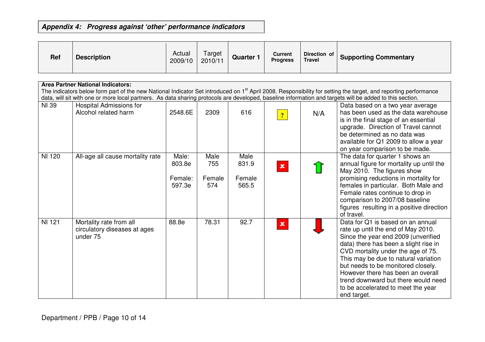## **Appendix 4: Progress against 'other' performance indicators**

| <b>Ref</b> | <b>Description</b> | Actual<br>2009/10 | Target<br>2010/11 | Quarter | Current<br><b>Progress</b> | Direction of  <br><b>Travel</b> | <b>Supporting Commentary</b> |
|------------|--------------------|-------------------|-------------------|---------|----------------------------|---------------------------------|------------------------------|
|            |                    |                   |                   |         |                            |                                 |                              |

|               | <b>Area Partner National Indicators:</b>                                                                                                                                                                                                                                                                                                |         |        |        |                |     |                                                                         |  |  |
|---------------|-----------------------------------------------------------------------------------------------------------------------------------------------------------------------------------------------------------------------------------------------------------------------------------------------------------------------------------------|---------|--------|--------|----------------|-----|-------------------------------------------------------------------------|--|--|
|               | The indicators below form part of the new National Indicator Set introduced on 1 <sup>st</sup> April 2008. Responsibility for setting the target, and reporting performance<br>data, will sit with one or more local partners. As data sharing protocols are developed, baseline information and targets will be added to this section. |         |        |        |                |     |                                                                         |  |  |
|               |                                                                                                                                                                                                                                                                                                                                         |         |        |        |                |     |                                                                         |  |  |
| NI 39         | <b>Hospital Admissions for</b>                                                                                                                                                                                                                                                                                                          |         |        |        |                |     | Data based on a two year average                                        |  |  |
|               | Alcohol related harm                                                                                                                                                                                                                                                                                                                    | 2548.6E | 2309   | 616    | $\overline{?}$ | N/A | has been used as the data warehouse                                     |  |  |
|               |                                                                                                                                                                                                                                                                                                                                         |         |        |        |                |     | is in the final stage of an essential                                   |  |  |
|               |                                                                                                                                                                                                                                                                                                                                         |         |        |        |                |     | upgrade. Direction of Travel cannot                                     |  |  |
|               |                                                                                                                                                                                                                                                                                                                                         |         |        |        |                |     | be determined as no data was                                            |  |  |
|               |                                                                                                                                                                                                                                                                                                                                         |         |        |        |                |     | available for Q1 2009 to allow a year                                   |  |  |
| <b>NI 120</b> |                                                                                                                                                                                                                                                                                                                                         | Male:   | Male   | Male   |                |     | on year comparison to be made.                                          |  |  |
|               | All-age all cause mortality rate                                                                                                                                                                                                                                                                                                        | 803.8e  | 755    | 831.9  |                |     | The data for quarter 1 shows an                                         |  |  |
|               |                                                                                                                                                                                                                                                                                                                                         |         |        |        | $\pmb{\times}$ |     | annual figure for mortality up until the<br>May 2010. The figures show  |  |  |
|               |                                                                                                                                                                                                                                                                                                                                         | Female: | Female | Female |                |     | promising reductions in mortality for                                   |  |  |
|               |                                                                                                                                                                                                                                                                                                                                         | 597.3e  | 574    | 565.5  |                |     | females in particular. Both Male and                                    |  |  |
|               |                                                                                                                                                                                                                                                                                                                                         |         |        |        |                |     | Female rates continue to drop in                                        |  |  |
|               |                                                                                                                                                                                                                                                                                                                                         |         |        |        |                |     | comparison to 2007/08 baseline                                          |  |  |
|               |                                                                                                                                                                                                                                                                                                                                         |         |        |        |                |     | figures resulting in a positive direction                               |  |  |
|               |                                                                                                                                                                                                                                                                                                                                         |         |        |        |                |     | of travel.                                                              |  |  |
| <b>NI 121</b> | Mortality rate from all                                                                                                                                                                                                                                                                                                                 | 88.8e   | 78.31  | 92.7   | $\mathbf x$    |     | Data for Q1 is based on an annual                                       |  |  |
|               | circulatory diseases at ages                                                                                                                                                                                                                                                                                                            |         |        |        |                |     | rate up until the end of May 2010.                                      |  |  |
|               | under 75                                                                                                                                                                                                                                                                                                                                |         |        |        |                |     | Since the year end 2009 (unverified                                     |  |  |
|               |                                                                                                                                                                                                                                                                                                                                         |         |        |        |                |     | data) there has been a slight rise in                                   |  |  |
|               |                                                                                                                                                                                                                                                                                                                                         |         |        |        |                |     | CVD mortality under the age of 75.                                      |  |  |
|               |                                                                                                                                                                                                                                                                                                                                         |         |        |        |                |     | This may be due to natural variation                                    |  |  |
|               |                                                                                                                                                                                                                                                                                                                                         |         |        |        |                |     | but needs to be monitored closely.<br>However there has been an overall |  |  |
|               |                                                                                                                                                                                                                                                                                                                                         |         |        |        |                |     | trend downward but there would need                                     |  |  |
|               |                                                                                                                                                                                                                                                                                                                                         |         |        |        |                |     | to be accelerated to meet the year                                      |  |  |
|               |                                                                                                                                                                                                                                                                                                                                         |         |        |        |                |     | end target.                                                             |  |  |
|               |                                                                                                                                                                                                                                                                                                                                         |         |        |        |                |     |                                                                         |  |  |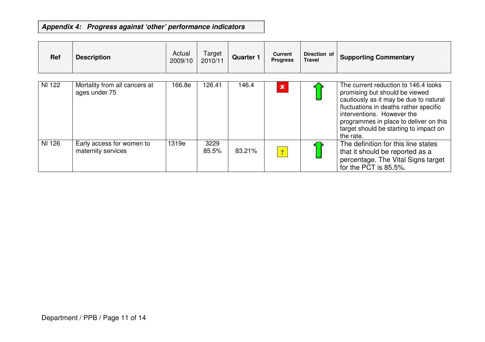## **Appendix 4: Progress against 'other' performance indicators**

| <b>Ref</b> | <b>Description</b>                              | Actual<br>2009/10 | Target<br>2010/11 | <b>Quarter 1</b> | <b>Current</b><br><b>Progress</b> | Direction of<br><b>Travel</b> | <b>Supporting Commentary</b>                                                                                                                                                                                                                                                              |
|------------|-------------------------------------------------|-------------------|-------------------|------------------|-----------------------------------|-------------------------------|-------------------------------------------------------------------------------------------------------------------------------------------------------------------------------------------------------------------------------------------------------------------------------------------|
| NI 122     | Mortality from all cancers at<br>ages under 75  | 166.8e            | 126.41            | 146.4            | $\pmb{\times}$                    |                               | The current reduction to 146.4 looks<br>promising but should be viewed<br>cautiously as it may be due to natural<br>fluctuations in deaths rather specific<br>interventions. However the<br>programmes in place to deliver on this<br>target should be starting to impact on<br>the rate. |
| NI 126     | Early access for women to<br>maternity services | 1319e             | 3229<br>85.5%     | 83.21%           | $\overline{?}$                    |                               | The definition for this line states<br>that it should be reported as a<br>percentage. The Vital Signs target<br>for the PCT is 85.5%.                                                                                                                                                     |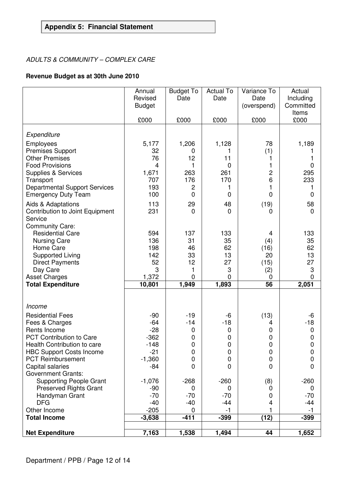## **Appendix 5: Financial Statement**

### ADULTS & COMMUNITY – COMPLEX CARE

### **Revenue Budget as at 30th June 2010**

|                                                   | Annual<br>Revised    | <b>Budget To</b><br>Date | <b>Actual To</b><br>Date | Variance To<br>Date | Actual<br>Including           |
|---------------------------------------------------|----------------------|--------------------------|--------------------------|---------------------|-------------------------------|
|                                                   | <b>Budget</b>        |                          |                          | (overspend)         | Committed<br>Items            |
|                                                   | £000                 | £000                     | £000                     | £000                | £000                          |
| Expenditure                                       |                      |                          |                          |                     |                               |
| Employees                                         | 5,177                | 1,206                    | 1,128                    | 78                  | 1,189                         |
| <b>Premises Support</b>                           | 32                   | 0                        | 1                        | (1)                 |                               |
| <b>Other Premises</b><br><b>Food Provisions</b>   | 76<br>$\overline{4}$ | 12<br>1                  | 11<br>$\mathbf 0$        | 1<br>1              | 1<br>$\boldsymbol{0}$         |
| Supplies & Services                               | 1,671                | 263                      | 261                      | 2                   | 295                           |
| Transport                                         | 707                  | 176                      | 170                      | 6                   | 233                           |
| <b>Departmental Support Services</b>              | 193                  | $\overline{c}$           | 1                        | 1                   | 1                             |
| <b>Emergency Duty Team</b>                        | 100                  | $\overline{0}$           | $\mathbf 0$              | $\overline{0}$      | $\mathbf 0$                   |
| Aids & Adaptations                                | 113                  | 29                       | 48                       | (19)                | 58                            |
| Contribution to Joint Equipment<br>Service        | 231                  | 0                        | $\mathbf 0$              | $\overline{0}$      | $\mathbf 0$                   |
| <b>Community Care:</b>                            |                      |                          |                          |                     |                               |
| <b>Residential Care</b>                           | 594                  | 137                      | 133                      | 4                   | 133                           |
| <b>Nursing Care</b>                               | 136                  | 31                       | 35                       | (4)                 | 35                            |
| Home Care                                         | 198<br>142           | 46<br>33                 | 62<br>13                 | (16)<br>20          | 62<br>13                      |
| <b>Supported Living</b><br><b>Direct Payments</b> | 52                   | 12                       | 27                       | (15)                | 27                            |
| Day Care                                          | 3                    | 1                        | 3                        | (2)                 | $\ensuremath{\mathsf{3}}$     |
| <b>Asset Charges</b>                              | 1,372                | 0                        | 0                        | 0                   | $\mathbf 0$                   |
| <b>Total Expenditure</b>                          | 10,801               | 1,949                    | 1,893                    | $\overline{56}$     | 2,051                         |
|                                                   |                      |                          |                          |                     |                               |
| Income                                            |                      |                          |                          |                     |                               |
| <b>Residential Fees</b>                           | $-90$<br>$-64$       | $-19$<br>$-14$           | -6                       | (13)                | -6                            |
| Fees & Charges<br>Rents Income                    | $-28$                | $\mathbf 0$              | $-18$<br>$\mathbf 0$     | 4<br>0              | $-18$<br>$\mathbf 0$          |
| PCT Contribution to Care                          | $-362$               | $\mathbf 0$              | $\mathbf 0$              | $\pmb{0}$           | $\pmb{0}$                     |
| Health Contribution to care                       | $-148$               | 0                        | $\pmb{0}$                | 0                   | $\pmb{0}$                     |
| <b>HBC Support Costs Income</b>                   | $-21$                | $\mathbf 0$              | $\mathbf 0$              | $\pmb{0}$           | $\pmb{0}$                     |
| <b>PCT Reimbursement</b>                          | $-1,360$             | 0<br>$\overline{0}$      | 0                        | $\mathbf 0$         | $\mathbf 0$<br>$\overline{0}$ |
| Capital salaries<br><b>Government Grants:</b>     | $-84$                |                          | 0                        | 0                   |                               |
| <b>Supporting People Grant</b>                    | $-1,076$             | $-268$                   | $-260$                   | (8)                 | $-260$                        |
| <b>Preserved Rights Grant</b>                     | $-90$                | 0                        | 0                        | 0                   | 0                             |
| Handyman Grant                                    | $-70$                | $-70$                    | $-70$                    | 0                   | $-70$                         |
| <b>DFG</b>                                        | $-40$                | $-40$                    | -44                      | 4                   | $-44$                         |
| Other Income<br><b>Total Income</b>               | $-205$<br>$-3,638$   | 0<br>$-411$              | $-1$<br>$-399$           | (12)                | $-1$<br>$-399$                |
|                                                   |                      |                          |                          |                     |                               |
| <b>Net Expenditure</b>                            | 7,163                | 1,538                    | 1,494                    | 44                  | 1,652                         |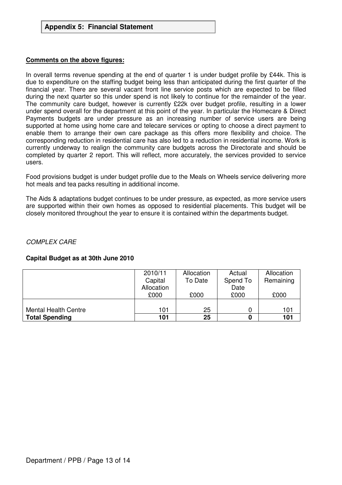#### **Comments on the above figures:**

In overall terms revenue spending at the end of quarter 1 is under budget profile by £44k. This is due to expenditure on the staffing budget being less than anticipated during the first quarter of the financial year. There are several vacant front line service posts which are expected to be filled during the next quarter so this under spend is not likely to continue for the remainder of the year. The community care budget, however is currently £22k over budget profile, resulting in a lower under spend overall for the department at this point of the year. In particular the Homecare & Direct Payments budgets are under pressure as an increasing number of service users are being supported at home using home care and telecare services or opting to choose a direct payment to enable them to arrange their own care package as this offers more flexibility and choice. The corresponding reduction in residential care has also led to a reduction in residential income. Work is currently underway to realign the community care budgets across the Directorate and should be completed by quarter 2 report. This will reflect, more accurately, the services provided to service users.

Food provisions budget is under budget profile due to the Meals on Wheels service delivering more hot meals and tea packs resulting in additional income.

The Aids & adaptations budget continues to be under pressure, as expected, as more service users are supported within their own homes as opposed to residential placements. This budget will be closely monitored throughout the year to ensure it is contained within the departments budget.

COMPLEX CARE

#### **Capital Budget as at 30th June 2010**

|                       | 2010/11    | Allocation | Actual   | Allocation |
|-----------------------|------------|------------|----------|------------|
|                       | Capital    | To Date    | Spend To | Remaining  |
|                       | Allocation |            | Date     |            |
|                       | £000       | £000       | £000     | £000       |
|                       |            |            |          |            |
| Mental Health Centre  | 101        | 25         |          | 101        |
| <b>Total Spending</b> | 101        | 25         |          | 101        |